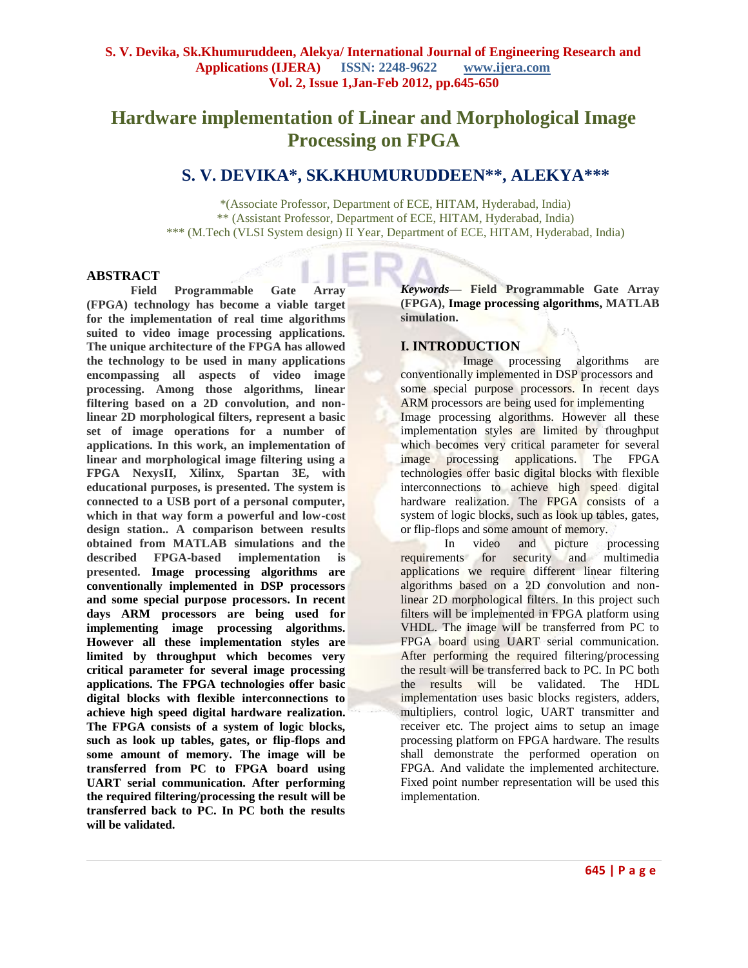# **Hardware implementation of Linear and Morphological Image Processing on FPGA**

# **S. V. DEVIKA\*, SK.KHUMURUDDEEN\*\*, ALEKYA\*\*\***

\*(Associate Professor, Department of ECE, HITAM, Hyderabad, India) \*\* (Assistant Professor, Department of ECE, HITAM, Hyderabad, India) \*\*\* (M.Tech (VLSI System design) II Year, Department of ECE, HITAM, Hyderabad, India)

# **ABSTRACT**

**Field Programmable Gate Array (FPGA) technology has become a viable target for the implementation of real time algorithms suited to video image processing applications. The unique architecture of the FPGA has allowed the technology to be used in many applications encompassing all aspects of video image processing. Among those algorithms, linear filtering based on a 2D convolution, and nonlinear 2D morphological filters, represent a basic set of image operations for a number of applications. In this work, an implementation of linear and morphological image filtering using a FPGA NexysII, Xilinx, Spartan 3E, with educational purposes, is presented. The system is connected to a USB port of a personal computer, which in that way form a powerful and low-cost design station.. A comparison between results obtained from MATLAB simulations and the described FPGA-based implementation is presented. Image processing algorithms are conventionally implemented in DSP processors and some special purpose processors. In recent days ARM processors are being used for implementing image processing algorithms. However all these implementation styles are limited by throughput which becomes very critical parameter for several image processing applications. The FPGA technologies offer basic digital blocks with flexible interconnections to achieve high speed digital hardware realization. The FPGA consists of a system of logic blocks, such as look up tables, gates, or flip-flops and some amount of memory. The image will be transferred from PC to FPGA board using UART serial communication. After performing the required filtering/processing the result will be transferred back to PC. In PC both the results will be validated.**

*Keywords***— Field Programmable Gate Array (FPGA), Image processing algorithms, MATLAB simulation.**

# **I. INTRODUCTION**

 Image processing algorithms are conventionally implemented in DSP processors and some special purpose processors. In recent days ARM processors are being used for implementing Image processing algorithms. However all these implementation styles are limited by throughput which becomes very critical parameter for several image processing applications. The FPGA technologies offer basic digital blocks with flexible interconnections to achieve high speed digital hardware realization. The FPGA consists of a system of logic blocks, such as look up tables, gates, or flip-flops and some amount of memory.

In video and picture processing requirements for security and multimedia applications we require different linear filtering algorithms based on a 2D convolution and nonlinear 2D morphological filters. In this project such filters will be implemented in FPGA platform using VHDL. The image will be transferred from PC to FPGA board using UART serial communication. After performing the required filtering/processing the result will be transferred back to PC. In PC both the results will be validated. The HDL implementation uses basic blocks registers, adders, multipliers, control logic, UART transmitter and receiver etc. The project aims to setup an image processing platform on FPGA hardware. The results shall demonstrate the performed operation on FPGA. And validate the implemented architecture. Fixed point number representation will be used this implementation.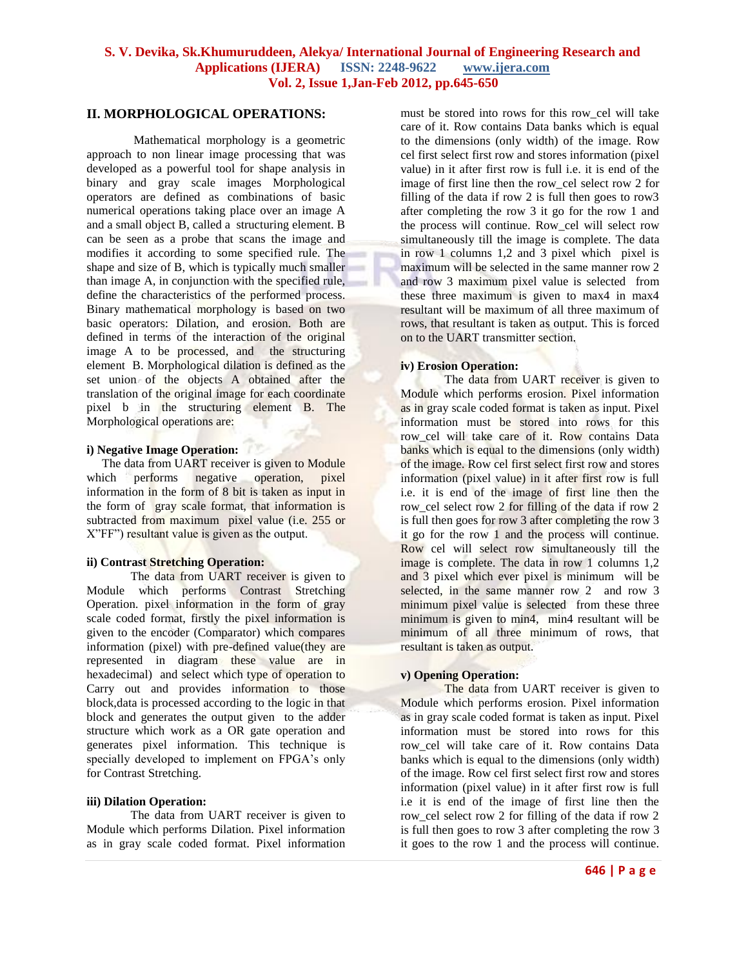# **II. MORPHOLOGICAL OPERATIONS:**

Mathematical morphology is a geometric approach to non linear image processing that was developed as a powerful tool for shape analysis in binary and gray scale images Morphological operators are defined as combinations of basic numerical operations taking place over an image A and a small object B, called a structuring element. B can be seen as a probe that scans the image and modifies it according to some specified rule. The shape and size of B, which is typically much smaller than image A, in conjunction with the specified rule, define the characteristics of the performed process. Binary mathematical morphology is based on two basic operators: Dilation, and erosion. Both are defined in terms of the interaction of the original image A to be processed, and the structuring element B. Morphological dilation is defined as the set union of the objects A obtained after the translation of the original image for each coordinate pixel b in the structuring element B. The Morphological operations are:

#### **i) Negative Image Operation:**

 The data from UART receiver is given to Module which performs negative operation, pixel information in the form of 8 bit is taken as input in the form of gray scale format, that information is subtracted from maximum pixel value (i.e. 255 or X"FF") resultant value is given as the output.

#### **ii) Contrast Stretching Operation:**

The data from UART receiver is given to Module which performs Contrast Stretching Operation. pixel information in the form of gray scale coded format, firstly the pixel information is given to the encoder (Comparator) which compares information (pixel) with pre-defined value(they are represented in diagram these value are in hexadecimal) and select which type of operation to Carry out and provides information to those block,data is processed according to the logic in that block and generates the output given to the adder structure which work as a OR gate operation and generates pixel information. This technique is specially developed to implement on FPGA's only for Contrast Stretching.

#### **iii) Dilation Operation:**

The data from UART receiver is given to Module which performs Dilation. Pixel information as in gray scale coded format. Pixel information must be stored into rows for this row\_cel will take care of it. Row contains Data banks which is equal to the dimensions (only width) of the image. Row cel first select first row and stores information (pixel value) in it after first row is full i.e. it is end of the image of first line then the row\_cel select row 2 for filling of the data if row 2 is full then goes to row3 after completing the row 3 it go for the row 1 and the process will continue. Row\_cel will select row simultaneously till the image is complete. The data in row 1 columns 1,2 and 3 pixel which pixel is maximum will be selected in the same manner row 2 and row 3 maximum pixel value is selected from these three maximum is given to max4 in max4 resultant will be maximum of all three maximum of rows, that resultant is taken as output. This is forced on to the UART transmitter section.

#### **iv) Erosion Operation:**

The data from UART receiver is given to Module which performs erosion. Pixel information as in gray scale coded format is taken as input. Pixel information must be stored into rows for this row cel will take care of it. Row contains Data banks which is equal to the dimensions (only width) of the image. Row cel first select first row and stores information (pixel value) in it after first row is full i.e. it is end of the image of first line then the row cel select row 2 for filling of the data if row 2 is full then goes for row 3 after completing the row 3 it go for the row 1 and the process will continue. Row cel will select row simultaneously till the image is complete. The data in row 1 columns 1,2 and 3 pixel which ever pixel is minimum will be selected, in the same manner row 2 and row 3 minimum pixel value is selected from these three minimum is given to min4, min4 resultant will be minimum of all three minimum of rows, that resultant is taken as output.

#### **v) Opening Operation:**

The data from UART receiver is given to Module which performs erosion. Pixel information as in gray scale coded format is taken as input. Pixel information must be stored into rows for this row\_cel will take care of it. Row contains Data banks which is equal to the dimensions (only width) of the image. Row cel first select first row and stores information (pixel value) in it after first row is full i.e it is end of the image of first line then the row\_cel select row 2 for filling of the data if row 2 is full then goes to row 3 after completing the row 3 it goes to the row 1 and the process will continue.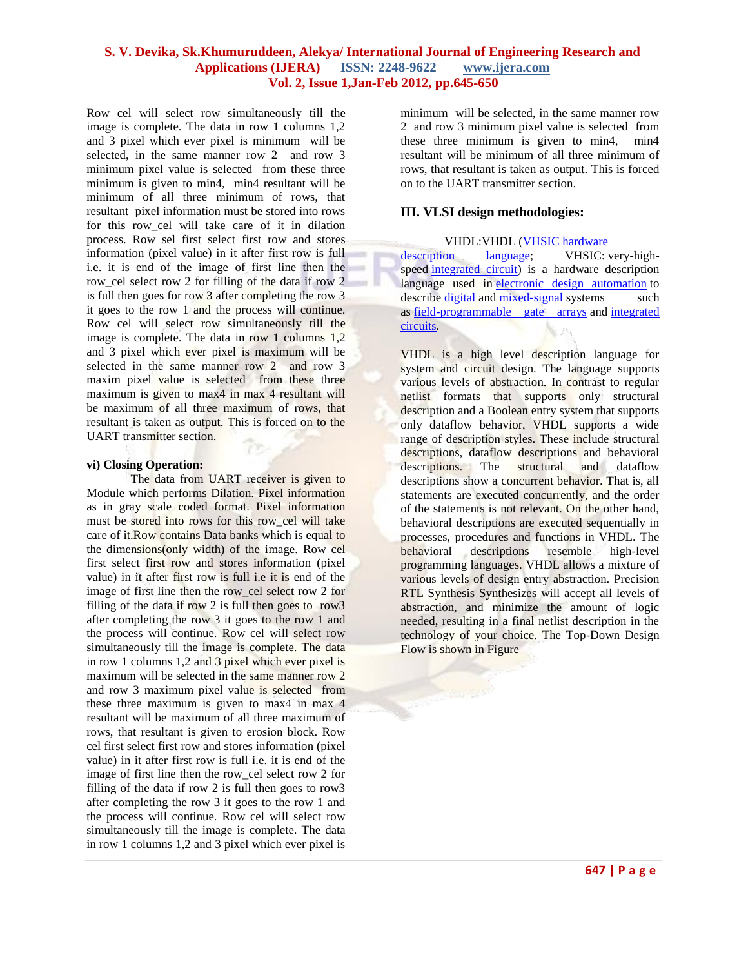Row cel will select row simultaneously till the image is complete. The data in row 1 columns 1,2 and 3 pixel which ever pixel is minimum will be selected, in the same manner row 2 and row 3 minimum pixel value is selected from these three minimum is given to min4, min4 resultant will be minimum of all three minimum of rows, that resultant pixel information must be stored into rows for this row\_cel will take care of it in dilation process. Row sel first select first row and stores information (pixel value) in it after first row is full i.e. it is end of the image of first line then the row\_cel select row 2 for filling of the data if row 2 is full then goes for row 3 after completing the row 3 it goes to the row 1 and the process will continue. Row cel will select row simultaneously till the image is complete. The data in row 1 columns 1,2 and 3 pixel which ever pixel is maximum will be selected in the same manner row 2 and row 3 maxim pixel value is selected from these three maximum is given to max4 in max 4 resultant will be maximum of all three maximum of rows, that resultant is taken as output. This is forced on to the UART transmitter section.

#### **vi) Closing Operation:**

The data from UART receiver is given to Module which performs Dilation. Pixel information as in gray scale coded format. Pixel information must be stored into rows for this row\_cel will take care of it.Row contains Data banks which is equal to the dimensions(only width) of the image. Row cel first select first row and stores information (pixel value) in it after first row is full i.e it is end of the image of first line then the row\_cel select row 2 for filling of the data if row 2 is full then goes to row3 after completing the row 3 it goes to the row 1 and the process will continue. Row cel will select row simultaneously till the image is complete. The data in row 1 columns 1,2 and 3 pixel which ever pixel is maximum will be selected in the same manner row 2 and row 3 maximum pixel value is selected from these three maximum is given to max4 in max 4 resultant will be maximum of all three maximum of rows, that resultant is given to erosion block. Row cel first select first row and stores information (pixel value) in it after first row is full i.e. it is end of the image of first line then the row\_cel select row 2 for filling of the data if row 2 is full then goes to row3 after completing the row 3 it goes to the row 1 and the process will continue. Row cel will select row simultaneously till the image is complete. The data in row 1 columns 1,2 and 3 pixel which ever pixel is

minimum will be selected, in the same manner row 2 and row 3 minimum pixel value is selected from these three minimum is given to min4, min4 resultant will be minimum of all three minimum of rows, that resultant is taken as output. This is forced on to the UART transmitter section.

#### **III. VLSI design methodologies:**

#### VHDL:VHDL [\(VHSIC](http://en.wikipedia.org/wiki/VHSIC) [hardware](http://en.wikipedia.org/wiki/Hardware_description_language)

[description language;](http://en.wikipedia.org/wiki/Hardware_description_language) VHSIC: very-highspeed [integrated circuit\)](http://en.wikipedia.org/wiki/Integrated_circuit) is a hardware description language used in [electronic design automation](http://en.wikipedia.org/wiki/Electronic_design_automation) to describe <u>[digital](http://en.wikipedia.org/wiki/Digital_electronics)</u> and [mixed-signal](http://en.wikipedia.org/wiki/Mixed-signal_integrated_circuit) systems such as [field-programmable gate arrays](http://en.wikipedia.org/wiki/Field-programmable_gate_array) and [integrated](http://en.wikipedia.org/wiki/Integrated_circuit)  [circuits.](http://en.wikipedia.org/wiki/Integrated_circuit)

VHDL is a high level description language for system and circuit design. The language supports various levels of abstraction. In contrast to regular netlist formats that supports only structural description and a Boolean entry system that supports only dataflow behavior, VHDL supports a wide range of description styles. These include structural descriptions, dataflow descriptions and behavioral descriptions. The structural and dataflow descriptions show a concurrent behavior. That is, all statements are executed concurrently, and the order of the statements is not relevant. On the other hand, behavioral descriptions are executed sequentially in processes, procedures and functions in VHDL. The behavioral descriptions resemble high-level programming languages. VHDL allows a mixture of various levels of design entry abstraction. Precision RTL Synthesis Synthesizes will accept all levels of abstraction, and minimize the amount of logic needed, resulting in a final netlist description in the technology of your choice. The Top-Down Design Flow is shown in Figure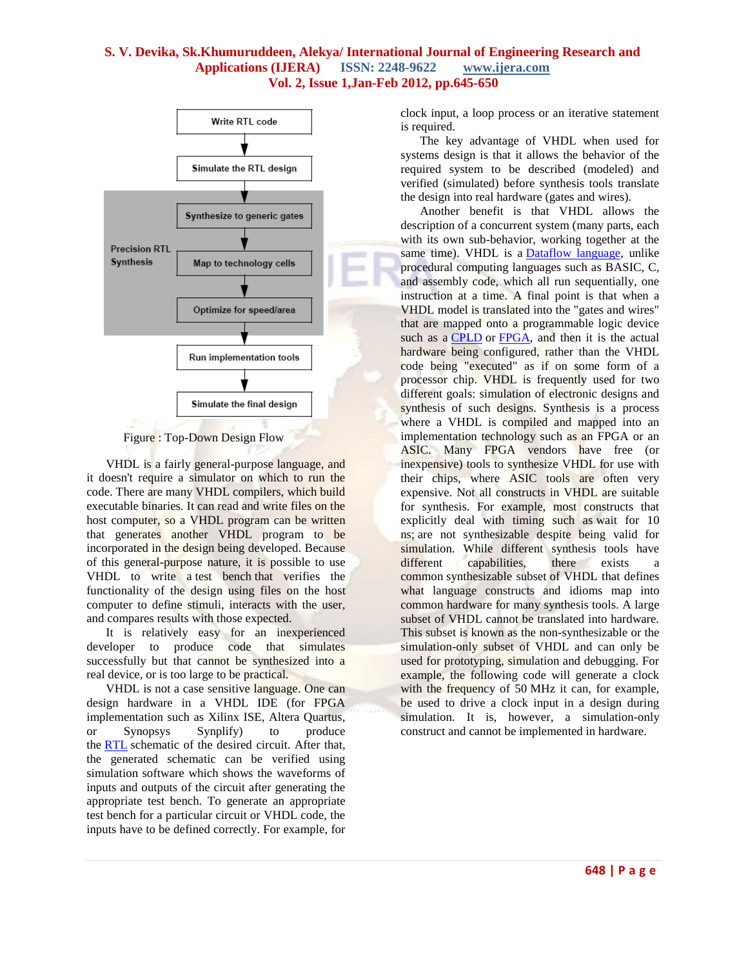

Figure : Top-Down Design Flow

VHDL is a fairly general-purpose language, and it doesn't require a simulator on which to run the code. There are many VHDL compilers, which build executable binaries. It can read and write files on the host computer, so a VHDL program can be written that generates another VHDL program to be incorporated in the design being developed. Because of this general-purpose nature, it is possible to use VHDL to write a test bench that verifies the functionality of the design using files on the host computer to define stimuli, interacts with the user, and compares results with those expected.

It is relatively easy for an inexperienced developer to produce code that simulates successfully but that cannot be synthesized into a real device, or is too large to be practical.

VHDL is not a case sensitive language. One can design hardware in a VHDL IDE (for FPGA implementation such as Xilinx ISE, Altera Quartus, or Synopsys Synplify) to produce the [RTL](http://en.wikipedia.org/wiki/Register_transfer_level) schematic of the desired circuit. After that, the generated schematic can be verified using simulation software which shows the waveforms of inputs and outputs of the circuit after generating the appropriate test bench. To generate an appropriate test bench for a particular circuit or VHDL code, the inputs have to be defined correctly. For example, for clock input, a loop process or an iterative statement is required.

The key advantage of VHDL when used for systems design is that it allows the behavior of the required system to be described (modeled) and verified (simulated) before synthesis tools translate the design into real hardware (gates and wires).

Another benefit is that VHDL allows the description of a concurrent system (many parts, each with its own sub-behavior, working together at the same time). VHDL is a [Dataflow language,](http://en.wikipedia.org/wiki/Dataflow_language) unlike procedural computing languages such as BASIC, C, and assembly code, which all run sequentially, one instruction at a time. A final point is that when a VHDL model is translated into the "gates and wires" that are mapped onto a programmable logic device such as a [CPLD](http://en.wikipedia.org/wiki/CPLD) or [FPGA,](http://en.wikipedia.org/wiki/FPGA) and then it is the actual hardware being configured, rather than the VHDL code being "executed" as if on some form of a processor chip. VHDL is frequently used for two different goals: simulation of electronic designs and synthesis of such designs. Synthesis is a process where a VHDL is compiled and mapped into an implementation technology such as an FPGA or an ASIC. Many FPGA vendors have free (or inexpensive) tools to synthesize VHDL for use with their chips, where ASIC tools are often very expensive. Not all constructs in VHDL are suitable for synthesis. For example, most constructs that explicitly deal with timing such as wait for 10 ns; are not synthesizable despite being valid for simulation. While different synthesis tools have different capabilities, there exists a common synthesizable subset of VHDL that defines what language constructs and idioms map into common hardware for many synthesis tools. A large subset of VHDL cannot be translated into hardware. This subset is known as the non-synthesizable or the simulation-only subset of VHDL and can only be used for prototyping, simulation and debugging. For example, the following code will generate a clock with the frequency of 50 MHz it can, for example, be used to drive a clock input in a design during simulation. It is, however, a simulation-only construct and cannot be implemented in hardware.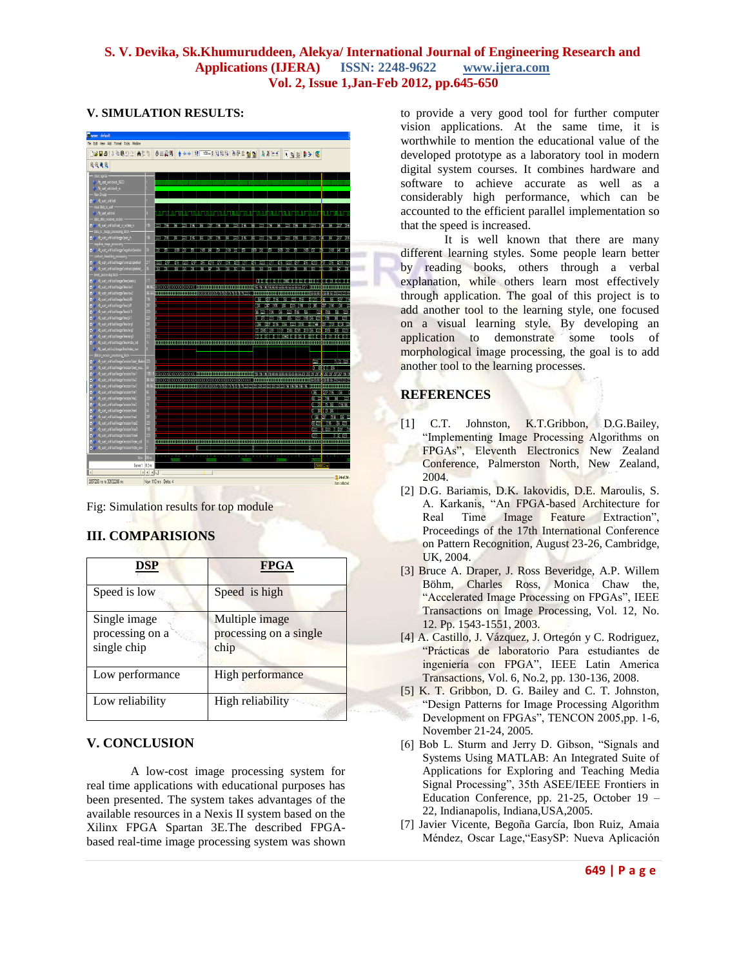# **V. SIMULATION RESULTS:**

| To wave - default                                                                |                 |                                                                                                                                                                                                                                      |                                                                                                             |                                                                                                                                                                                     |      |        |     |                    |                                                                          |                |                          |                       |         |                 |                |   |                                   |                 |                     |                                                                                 |               |
|----------------------------------------------------------------------------------|-----------------|--------------------------------------------------------------------------------------------------------------------------------------------------------------------------------------------------------------------------------------|-------------------------------------------------------------------------------------------------------------|-------------------------------------------------------------------------------------------------------------------------------------------------------------------------------------|------|--------|-----|--------------------|--------------------------------------------------------------------------|----------------|--------------------------|-----------------------|---------|-----------------|----------------|---|-----------------------------------|-----------------|---------------------|---------------------------------------------------------------------------------|---------------|
| File Edit View Add Format Tools Window                                           |                 |                                                                                                                                                                                                                                      |                                                                                                             |                                                                                                                                                                                     |      |        |     |                    |                                                                          |                |                          |                       |         |                 |                |   |                                   |                 |                     |                                                                                 |               |
| 「12日毎!!を鳴り2!異別別                                                                  |                 | \$20 1 + + + B 0 10 + BBB 0 0 2 3 3 4 X + 1   F + 3 3 4 3                                                                                                                                                                            |                                                                                                             |                                                                                                                                                                                     |      |        |     |                    |                                                                          |                |                          |                       |         |                 |                |   |                                   |                 |                     |                                                                                 |               |
|                                                                                  |                 |                                                                                                                                                                                                                                      |                                                                                                             |                                                                                                                                                                                     |      |        |     |                    |                                                                          |                |                          |                       |         |                 |                |   |                                   |                 |                     |                                                                                 |               |
| 0000                                                                             |                 |                                                                                                                                                                                                                                      |                                                                                                             |                                                                                                                                                                                     |      |        |     |                    |                                                                          |                |                          |                       |         |                 |                |   |                                   |                 |                     |                                                                                 |               |
| dock signals                                                                     |                 |                                                                                                                                                                                                                                      |                                                                                                             |                                                                                                                                                                                     |      |        |     |                    |                                                                          |                |                          |                       |         |                 |                |   |                                   |                 |                     |                                                                                 |               |
| Mijuat university 9600                                                           |                 |                                                                                                                                                                                                                                      |                                                                                                             |                                                                                                                                                                                     |      |        |     |                    |                                                                          |                |                          |                       |         |                 |                |   |                                   |                 |                     |                                                                                 |               |
| httpartprivided.px                                                               |                 |                                                                                                                                                                                                                                      |                                                                                                             |                                                                                                                                                                                     |      |        |     |                    |                                                                          |                |                          |                       |         |                 |                |   |                                   |                 |                     |                                                                                 |               |
| - New Direct                                                                     |                 |                                                                                                                                                                                                                                      |                                                                                                             |                                                                                                                                                                                     |      |        |     |                    |                                                                          |                |                          |                       |         |                 |                |   |                                   |                 |                     |                                                                                 |               |
| <sup>1</sup> August 20                                                           |                 |                                                                                                                                                                                                                                      |                                                                                                             |                                                                                                                                                                                     |      |        |     |                    |                                                                          |                |                          |                       |         |                 |                |   |                                   |                 |                     |                                                                                 |               |
| input data to uat -                                                              |                 |                                                                                                                                                                                                                                      |                                                                                                             |                                                                                                                                                                                     |      |        |     |                    |                                                                          |                |                          |                       |         |                 |                |   |                                   |                 |                     |                                                                                 |               |
| <b>Abust united</b><br>data_alter_receiver_rection =                             |                 | ΠF                                                                                                                                                                                                                                   |                                                                                                             |                                                                                                                                                                                     |      |        |     |                    |                                                                          |                |                          |                       |         |                 |                |   |                                   |                 |                     | المرابوس بالمرواط والمرواة والمزور والمراري والمراري والمساري والمصرور والمنافس |               |
| <b>B<sup>3</sup>&gt;</b> /b uat uni/udiuat n xida n                              | 196             | 223 135                                                                                                                                                                                                                              | TB.                                                                                                         | 223 196 36 207 196                                                                                                                                                                  |      |        |     |                    |                                                                          |                |                          |                       |         |                 |                |   |                                   |                 | ाड                  |                                                                                 | $-0.07 - 196$ |
| data_to_mage_processing_block                                                    |                 |                                                                                                                                                                                                                                      |                                                                                                             |                                                                                                                                                                                     |      |        |     |                    |                                                                          |                |                          |                       |         |                 |                |   |                                   |                 |                     |                                                                                 |               |
| <b>B<sup>2</sup>&gt;</b> /b_uat_unk/uutimage/piiel_in                            | 196             | 1223 133                                                                                                                                                                                                                             | 15.                                                                                                         | 223   196   196   1970   217   196   196   223   196   1970   223   198   223   234   235   237   198                                                                               |      |        |     |                    |                                                                          |                |                          |                       |         |                 |                |   | 66 223 116                        |                 |                     | 66 207 198                                                                      |               |
| позвие тари споскопу –                                                           |                 |                                                                                                                                                                                                                                      |                                                                                                             |                                                                                                                                                                                     |      |        |     |                    |                                                                          |                |                          |                       |         |                 |                |   |                                   |                 |                     |                                                                                 |               |
| D4 / /b_uat_unt/uut/maga/regative/pixebut                                        | 58              | <b>INCHE</b>                                                                                                                                                                                                                         | <b>THE R</b>                                                                                                |                                                                                                                                                                                     | ाह्य | 18 4 5 |     | <b>TARS BRAZER</b> |                                                                          |                | <b>THE REAL PROPERTY</b> |                       |         | 18 32           | 丽              |   | $0818 - 8$                        |                 |                     | 189 48 59                                                                       |               |
| carissi steading processing-                                                     |                 |                                                                                                                                                                                                                                      |                                                                                                             |                                                                                                                                                                                     |      |        |     |                    |                                                                          |                |                          |                       |         |                 |                |   |                                   |                 |                     |                                                                                 |               |
| b <sup>4</sup> /b ust unt/uslinage/contact/period                                | 217             | 1023 127                                                                                                                                                                                                                             | US.                                                                                                         | 1023 1271                                                                                                                                                                           |      |        |     |                    | NIS WEIGHTS WEIGHTS WIND IS WEIGHT                                       |                |                          |                       |         |                 |                |   |                                   |                 |                     | <b>NORTHWEIGHT OF STREET</b>                                                    |               |
| 54 / /b_uat_unt/ust/maga/contect/pielost_                                        | X.              | $(63 - 13)$                                                                                                                                                                                                                          |                                                                                                             | $\frac{32}{2}$ $\frac{32}{2}$ $\frac{32}{2}$ $\frac{32}{2}$ $\frac{32}{2}$ $\frac{32}{2}$ $\frac{32}{2}$ $\frac{32}{2}$ $\frac{32}{2}$ $\frac{32}{2}$ $\frac{32}{2}$ $\frac{32}{2}$ |      |        |     |                    |                                                                          |                |                          |                       |         | $-16 - 13 - 18$ |                |   | 18 8 5                            |                 |                     | <b>BELLET BELL</b>                                                              |               |
| inear processing block -                                                         |                 |                                                                                                                                                                                                                                      |                                                                                                             |                                                                                                                                                                                     |      |        |     |                    |                                                                          |                |                          |                       |         |                 |                |   |                                   |                 |                     |                                                                                 |               |
| B <sup>4</sup> /b_uat_unt/ustimage/ine/pielout                                   | w               |                                                                                                                                                                                                                                      |                                                                                                             |                                                                                                                                                                                     |      |        |     |                    |                                                                          |                |                          |                       |         |                 |                |   |                                   |                 |                     | <b>MODE DE DIVERSO DE 200 DE DE DIVERSO</b>                                     |               |
| 54 /b_uat_uni/uslinage/instrayi<br>B <sup>4</sup> / /b_uat_unt/uutinage/ine/row2 | 55.66<br>68     |                                                                                                                                                                                                                                      |                                                                                                             |                                                                                                                                                                                     |      |        |     |                    |                                                                          |                |                          | mm                    | distant |                 |                |   |                                   |                 |                     | mit mit der                                                                     |               |
| 5% /b_ust_unk/uslimage/inelp00                                                   |                 |                                                                                                                                                                                                                                      |                                                                                                             |                                                                                                                                                                                     |      |        |     |                    |                                                                          | $\blacksquare$ |                          | <b>600 66 768</b>     |         |                 | 123 113        |   | $-400$                            |                 |                     | HIMMIN 35 88 55 5 65 65 65 623 023 224 22                                       |               |
| <b>B<sup>4</sup></b> /b cat uni/unlinage/insip01                                 | 156             |                                                                                                                                                                                                                                      |                                                                                                             |                                                                                                                                                                                     |      |        |     |                    |                                                                          | ИW             |                          | <b>Taty</b><br>ाड     |         | TE              | 1223 1196      |   | 11(68)                            |                 | <b>CO</b>           | Tœ                                                                              |               |
| /b_ust_unklustinage/inelp10<br>в                                                 | m               |                                                                                                                                                                                                                                      |                                                                                                             |                                                                                                                                                                                     |      |        |     |                    |                                                                          |                | <b>INSTANTIAL</b>        |                       | 79      | <b>TYM</b>      |                | m |                                   |                 | to the              |                                                                                 |               |
| b <sup>4</sup> /b uat uni/ustinage/insip11                                       | 73              |                                                                                                                                                                                                                                      |                                                                                                             |                                                                                                                                                                                     |      |        |     |                    |                                                                          | ٣Ū             |                          | <b>MODE WARE (IX)</b> |         | ТX.             |                |   | <b>THE REAL PROPERTY OF STATE</b> |                 |                     | 68 223                                                                          |               |
| to the ust unit unimage free angli                                               |                 |                                                                                                                                                                                                                                      |                                                                                                             |                                                                                                                                                                                     |      |        |     |                    | and a second file                                                        |                |                          | <b>TATE THE</b>       |         | Tit er          | antazio in se  |   | mm (m                             |                 |                     | me                                                                              |               |
| b <sup>4</sup> /b uat unt/usinage/inelayg2                                       | q               |                                                                                                                                                                                                                                      |                                                                                                             |                                                                                                                                                                                     |      |        |     |                    | <b>EXECUTIVE CONTRACTOR CONTRACTOR CONTRACTOR DESCRIPTIONS</b>           |                |                          |                       |         |                 |                |   |                                   |                 |                     |                                                                                 |               |
| <sup>84</sup> /b_uat_unk/uut/mage/ine/avg3                                       | n,              |                                                                                                                                                                                                                                      |                                                                                                             |                                                                                                                                                                                     |      |        |     |                    |                                                                          |                | 100000001010101010101    |                       |         |                 |                |   | <b>HOOK OF</b>                    |                 |                     |                                                                                 |               |
| b <sup>4</sup> /b ust uni/uslinage/ine/index_col                                 | $\overline{14}$ |                                                                                                                                                                                                                                      |                                                                                                             |                                                                                                                                                                                     |      |        | mm. | mm                 | ШШН                                                                      | <u>minimu</u>  |                          | mm                    | IIIIO N |                 | шши            |   | <b>MANIFESTATION COMMIT</b>       |                 |                     |                                                                                 |               |
| Mb uat unkluutinage/inelindex tow                                                |                 |                                                                                                                                                                                                                                      |                                                                                                             |                                                                                                                                                                                     |      |        |     |                    |                                                                          |                |                          |                       |         |                 |                |   |                                   |                 |                     |                                                                                 |               |
| disting export processing block -                                                |                 |                                                                                                                                                                                                                                      |                                                                                                             |                                                                                                                                                                                     |      |        |     |                    |                                                                          |                |                          |                       |         |                 |                |   |                                   |                 |                     |                                                                                 |               |
| D <sup>4</sup> /b_uat_uni/uut/maga/excon/peel_diato                              | 闂               |                                                                                                                                                                                                                                      |                                                                                                             |                                                                                                                                                                                     |      |        |     |                    |                                                                          |                |                          |                       |         |                 |                |   | <b>DIESE</b>                      |                 |                     | 1112-723                                                                        |               |
| Moust_unMuslimage/excom/pael_exc<br>в<br>/b_uat_unk/uut/mage/ecoon/owl<br>ы      | 1551            | <b>SERIOR ANNO OCCUPANTAN IIII</b>                                                                                                                                                                                                   |                                                                                                             |                                                                                                                                                                                     |      |        | mn. | mr.                | mm :                                                                     |                |                          |                       |         |                 |                |   |                                   |                 | <b>THE TOOL ARE</b> |                                                                                 |               |
| B-4 /b_uat_unMuslimage/econom/ow2                                                | 68              | <b>A EXPERIMENTAL AND THE THE EXPERIMENT OF THE EXPENSE OF THE EXPENSE OF THE EXPENSE OF THE EXPENSE OF THE EXPENSE OF THE EXPENSE OF THE EXPENSE OF THE EXPENSE OF THE EXPENSE OF THE EXPENSE OF THE EXPENSE OF THE EXPENSE OF </b> |                                                                                                             |                                                                                                                                                                                     |      |        |     |                    |                                                                          |                |                          | millio                |         |                 | <b>HUILDER</b> |   |                                   |                 |                     | HIMMIN 222123-222123-004 02944 P                                                |               |
| Mo ust uniful image exposure of<br>o.                                            | œ,              |                                                                                                                                                                                                                                      |                                                                                                             |                                                                                                                                                                                     |      |        |     |                    | TON BODY WED BORD FOR DISPARTANCE AND A PARTICULAR AND THE SERVED OF THE |                |                          |                       |         |                 |                |   |                                   |                 | mm rmm              | mm                                                                              |               |
| /b_uat_unk/uut/mage/excoor/minf<br>п                                             | 66              |                                                                                                                                                                                                                                      |                                                                                                             |                                                                                                                                                                                     |      |        |     |                    |                                                                          |                |                          |                       |         |                 |                |   | <b>11 (86)</b>                    |                 | 1000 196            | $-100$                                                                          |               |
| b / /b_ust_unk/ust/mage/ecoon/min2                                               | 23              |                                                                                                                                                                                                                                      |                                                                                                             |                                                                                                                                                                                     |      |        |     |                    |                                                                          |                |                          |                       |         |                 |                |   |                                   | <b>BOOK 189</b> |                     |                                                                                 |               |
| <b>B-4</b> / Yb_uait_unit/uut/mage/ecolon/min3                                   | 70 66 200       |                                                                                                                                                                                                                                      |                                                                                                             |                                                                                                                                                                                     |      |        |     |                    |                                                                          |                |                          |                       |         |                 |                |   |                                   |                 |                     | <b>IN DIE VOLKEN ER EIN (1967) FR</b>                                           |               |
| b /b_ust_unk/ust/mage/economicA                                                  |                 |                                                                                                                                                                                                                                      |                                                                                                             |                                                                                                                                                                                     |      |        |     |                    |                                                                          |                |                          |                       |         |                 |                |   | <b>CONTRACTOR</b>                 |                 |                     |                                                                                 |               |
| b <sup>4</sup> /b uat uni/us/inage/ecoor/hail                                    |                 |                                                                                                                                                                                                                                      |                                                                                                             |                                                                                                                                                                                     |      |        |     |                    |                                                                          |                |                          |                       |         |                 |                |   |                                   | 1006000         |                     | 1196   136 12                                                                   |               |
| My ust unifultimage/exportment<br>в                                              |                 |                                                                                                                                                                                                                                      |                                                                                                             |                                                                                                                                                                                     |      |        |     |                    |                                                                          |                |                          |                       |         |                 |                |   |                                   | <b>BEET</b>     | 可逆                  |                                                                                 |               |
| b <sup>4</sup> /b ust uni/us/inage/econvinas3                                    |                 |                                                                                                                                                                                                                                      |                                                                                                             |                                                                                                                                                                                     |      |        |     |                    |                                                                          |                |                          |                       |         |                 |                |   | 128                               |                 |                     | <b>DAWS URKU</b>                                                                |               |
| Ab ust unit interaction made                                                     | z<br>14         |                                                                                                                                                                                                                                      |                                                                                                             |                                                                                                                                                                                     |      |        |     |                    |                                                                          |                |                          |                       |         |                 |                |   | <b>TEB</b>                        |                 |                     | <b>INTER WE</b>                                                                 |               |
| 54 /b ust uni/ustimage/expon/index_col                                           |                 |                                                                                                                                                                                                                                      | mis anni 1960 anima missa a banani ina anima anni 1970 anima a san ann an ann an ann an ann an ann a' ann a |                                                                                                                                                                                     |      |        |     |                    |                                                                          |                |                          |                       |         |                 |                |   |                                   |                 |                     | www.                                                                            |               |
| 54 / /b uat unt/uutimage/expositions no                                          |                 |                                                                                                                                                                                                                                      |                                                                                                             |                                                                                                                                                                                     |      |        |     |                    |                                                                          |                |                          |                       |         |                 |                |   |                                   |                 |                     |                                                                                 |               |
| New                                                                              | 00 rs           |                                                                                                                                                                                                                                      | 500000                                                                                                      |                                                                                                                                                                                     |      |        |     |                    | 150000                                                                   |                |                          |                       | 20000   |                 |                |   | Жm                                |                 |                     |                                                                                 |               |
| Dunor 1 B12 no                                                                   |                 |                                                                                                                                                                                                                                      |                                                                                                             |                                                                                                                                                                                     |      |        |     |                    |                                                                          |                |                          |                       |         |                 |                |   |                                   |                 |                     |                                                                                 |               |
|                                                                                  | 1               |                                                                                                                                                                                                                                      |                                                                                                             |                                                                                                                                                                                     |      |        |     |                    |                                                                          |                |                          |                       |         |                 |                |   |                                   |                 |                     |                                                                                 |               |

Fig: Simulation results for top module

# **III. COMPARISIONS**

| DSP                                            | <b>FPGA</b>                                      |
|------------------------------------------------|--------------------------------------------------|
| Speed is low                                   | Speed is high                                    |
| Single image<br>processing on a<br>single chip | Multiple image<br>processing on a single<br>chip |
| Low performance                                | High performance                                 |
| Low reliability                                | High reliability                                 |

# **V. CONCLUSION**

A low-cost image processing system for real time applications with educational purposes has been presented. The system takes advantages of the available resources in a Nexis II system based on the Xilinx FPGA Spartan 3E.The described FPGAbased real-time image processing system was shown to provide a very good tool for further computer vision applications. At the same time, it is worthwhile to mention the educational value of the developed prototype as a laboratory tool in modern digital system courses. It combines hardware and software to achieve accurate as well as a considerably high performance, which can be accounted to the efficient parallel implementation so that the speed is increased.

It is well known that there are many different learning styles. Some people learn better by reading books, others through a verbal explanation, while others learn most effectively through application. The goal of this project is to add another tool to the learning style, one focused on a visual learning style. By developing an application to demonstrate some tools of morphological image processing, the goal is to add another tool to the learning processes.

# **REFERENCES**

- [1] C.T. Johnston, K.T.Gribbon, D.G.Bailey, "Implementing Image Processing Algorithms on FPGAs", Eleventh Electronics New Zealand Conference, Palmerston North, New Zealand, 2004.
- [2] D.G. Bariamis, D.K. Iakovidis, D.E. Maroulis, S. A. Karkanis, "An FPGA-based Architecture for Real Time Image Feature Extraction", Proceedings of the 17th International Conference on Pattern Recognition, August 23-26, Cambridge, UK, 2004.
- [3] Bruce A. Draper, J. Ross Beveridge, A.P. Willem Böhm, Charles Ross, Monica Chaw the, "Accelerated Image Processing on FPGAs", IEEE Transactions on Image Processing, Vol. 12, No. 12. Pp. 1543-1551, 2003.
- [4] A. Castillo, J. Vázquez, J. Ortegón y C. Rodriguez, "Prácticas de laboratorio Para estudiantes de ingeniería con FPGA", IEEE Latin America Transactions, Vol. 6, No.2, pp. 130-136, 2008.
- [5] K. T. Gribbon, D. G. Bailey and C. T. Johnston, "Design Patterns for Image Processing Algorithm Development on FPGAs", TENCON 2005,pp. 1-6, November 21-24, 2005.
- [6] Bob L. Sturm and Jerry D. Gibson, "Signals and Systems Using MATLAB: An Integrated Suite of Applications for Exploring and Teaching Media Signal Processing", 35th ASEE/IEEE Frontiers in Education Conference, pp. 21-25, October 19 – 22, Indianapolis, Indiana,USA,2005.
- [7] Javier Vicente, Begoña García, Ibon Ruiz, Amaia Méndez, Oscar Lage,"EasySP: Nueva Aplicación